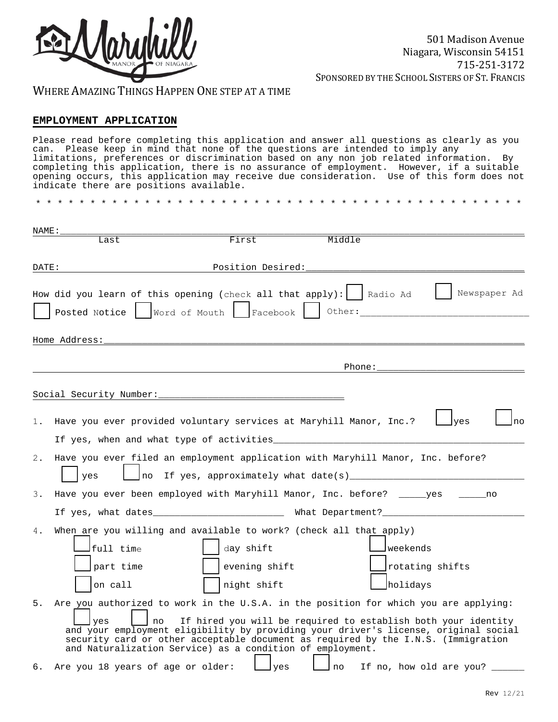

WHERE AMAZING THINGS HAPPEN ONE STEP AT A TIME

# **EMPLOYMENT APPLICATION**

Please read before completing this application and answer all questions as clearly as you can. Please keep in mind that none of the questions are intended to imply any limitations, preferences or discrimination based on any non job related information. By completing this application, there is no assurance of employment. However, if a suitable opening occurs, this application may receive due consideration. Use of this form does not indicate there are positions available.

\* \* \* \* \* \* \* \* \* \* \* \* \* \* \* \* \* \* \* \* \* \* \* \* \* \* \* \* \* \* \* \* \* \* \* \* \* \* \* \* \* \* \* \* \*

| NAME: |                                                                                                                                                                                                                                                                                                                                              |                   |                                                                                                                                                                                                                                |                                    |
|-------|----------------------------------------------------------------------------------------------------------------------------------------------------------------------------------------------------------------------------------------------------------------------------------------------------------------------------------------------|-------------------|--------------------------------------------------------------------------------------------------------------------------------------------------------------------------------------------------------------------------------|------------------------------------|
|       | Last                                                                                                                                                                                                                                                                                                                                         | First             | Middle                                                                                                                                                                                                                         |                                    |
|       |                                                                                                                                                                                                                                                                                                                                              |                   |                                                                                                                                                                                                                                |                                    |
| DATE: |                                                                                                                                                                                                                                                                                                                                              | Position Desired: |                                                                                                                                                                                                                                |                                    |
|       | How did you learn of this opening (check all that apply): $\vert$ Radio Ad                                                                                                                                                                                                                                                                   |                   |                                                                                                                                                                                                                                | Newspaper Ad                       |
|       | Posted Notice   Word of Mouth   Facebook     Other:                                                                                                                                                                                                                                                                                          |                   |                                                                                                                                                                                                                                |                                    |
|       | Home Address:                                                                                                                                                                                                                                                                                                                                |                   |                                                                                                                                                                                                                                |                                    |
|       |                                                                                                                                                                                                                                                                                                                                              |                   |                                                                                                                                                                                                                                |                                    |
|       |                                                                                                                                                                                                                                                                                                                                              |                   | Phone: The second that the second second second second second second second second second second second second second second second second second second second second second second second second second second second second |                                    |
|       |                                                                                                                                                                                                                                                                                                                                              |                   |                                                                                                                                                                                                                                |                                    |
|       |                                                                                                                                                                                                                                                                                                                                              |                   |                                                                                                                                                                                                                                |                                    |
|       |                                                                                                                                                                                                                                                                                                                                              |                   |                                                                                                                                                                                                                                |                                    |
| 1.    | Have you ever provided voluntary services at Maryhill Manor, Inc.?                                                                                                                                                                                                                                                                           |                   |                                                                                                                                                                                                                                | ves<br>no                          |
|       | If yes, when and what type of activities                                                                                                                                                                                                                                                                                                     |                   |                                                                                                                                                                                                                                |                                    |
| 2.    | Have you ever filed an employment application with Maryhill Manor, Inc. before?<br>yes                                                                                                                                                                                                                                                       |                   |                                                                                                                                                                                                                                |                                    |
| 3.    | Have you ever been employed with Maryhill Manor, Inc. before? ______yes ______no                                                                                                                                                                                                                                                             |                   |                                                                                                                                                                                                                                |                                    |
|       | If yes, what dates__________________________ What Department?__________________________                                                                                                                                                                                                                                                      |                   |                                                                                                                                                                                                                                |                                    |
| 4.    | When are you willing and available to work? (check all that apply)                                                                                                                                                                                                                                                                           |                   |                                                                                                                                                                                                                                |                                    |
|       | full time                                                                                                                                                                                                                                                                                                                                    | day shift         |                                                                                                                                                                                                                                | weekends                           |
|       | part time                                                                                                                                                                                                                                                                                                                                    | evening shift     |                                                                                                                                                                                                                                | rotating shifts                    |
|       | on call                                                                                                                                                                                                                                                                                                                                      | night shift       |                                                                                                                                                                                                                                | holidays                           |
| 5.    | Are you authorized to work in the U.S.A. in the position for which you are applying:<br>yes<br>l no<br>and your employment eligibility by providing your driver's license, original social<br>security card or other acceptable document as required by the I.N.S. (Immigration<br>and Naturalization Service) as a condition of employment. |                   | If hired you will be required to establish both your identity                                                                                                                                                                  |                                    |
|       | 6. Are you 18 years of age or older:                                                                                                                                                                                                                                                                                                         | lyes              |                                                                                                                                                                                                                                | Ino If no, how old are you? ______ |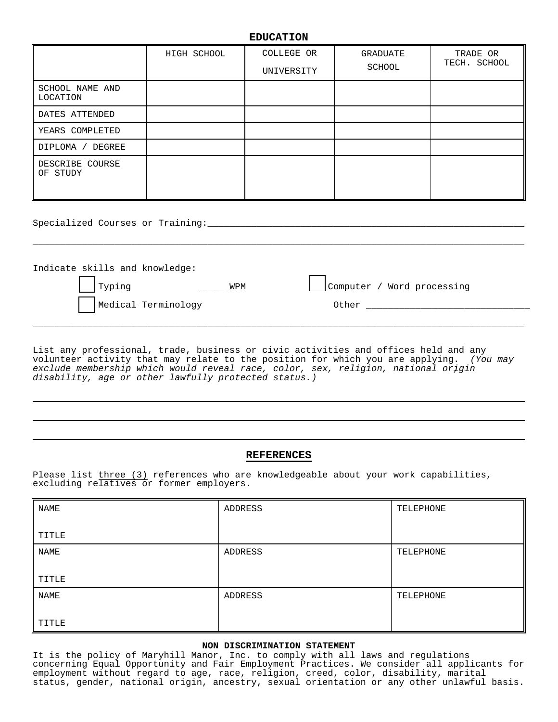## **EDUCATION**

|                             | HIGH SCHOOL | COLLEGE OR<br>UNIVERSITY | GRADUATE<br>SCHOOL | TRADE OR<br>TECH. SCHOOL |
|-----------------------------|-------------|--------------------------|--------------------|--------------------------|
| SCHOOL NAME AND<br>LOCATION |             |                          |                    |                          |
| DATES ATTENDED              |             |                          |                    |                          |
| YEARS COMPLETED             |             |                          |                    |                          |
| DEGREE<br>DIPLOMA /         |             |                          |                    |                          |
| DESCRIBE COURSE<br>OF STUDY |             |                          |                    |                          |

Specialized Courses or Training:\_\_\_\_\_\_\_\_\_\_\_\_\_\_\_\_\_\_\_\_\_\_\_\_\_\_\_\_\_\_\_\_\_\_\_\_\_\_\_\_\_\_\_\_\_\_\_\_\_\_\_\_\_\_\_\_\_\_

| Indicate skills and knowledge: |                            |
|--------------------------------|----------------------------|
| Typing<br>WPM                  | Computer / Word processing |
| Medical Terminology            | Other                      |
|                                |                            |

\_\_\_\_\_\_\_\_\_\_\_\_\_\_\_\_\_\_\_\_\_\_\_\_\_\_\_\_\_\_\_\_\_\_\_\_\_\_\_\_\_\_\_\_\_\_\_\_\_\_\_\_\_\_\_\_\_\_\_\_\_\_\_\_\_\_\_\_\_\_\_\_\_\_\_\_\_\_\_\_\_\_\_\_\_\_\_\_\_\_

List any professional, trade, business or civic activities and offices held and any volunteer activity that may relate to the position for which you are applying. *(You may exclude membership which would reveal race, color, sex, religion, national origin , disability, age or other lawfully protected status.)* 

#### **REFERENCES**

Please list three (3) references who are knowledgeable about your work capabilities, excluding relatives or former employers.

| <b>NAME</b>  | ADDRESS | TELEPHONE |
|--------------|---------|-----------|
| <b>TITLE</b> |         |           |
| <b>NAME</b>  | ADDRESS | TELEPHONE |
| TITLE        |         |           |
| <b>NAME</b>  | ADDRESS | TELEPHONE |
| TITLE        |         |           |

## **NON DISCRIMINATION STATEMENT**

It is the policy of Maryhill Manor, Inc. to comply with all laws and regulations concerning Equal Opportunity and Fair Employment Practices. We consider all applicants for employment without regard to age, race, religion, creed, color, disability, marital status, gender, national origin, ancestry, sexual orientation or any other unlawful basis.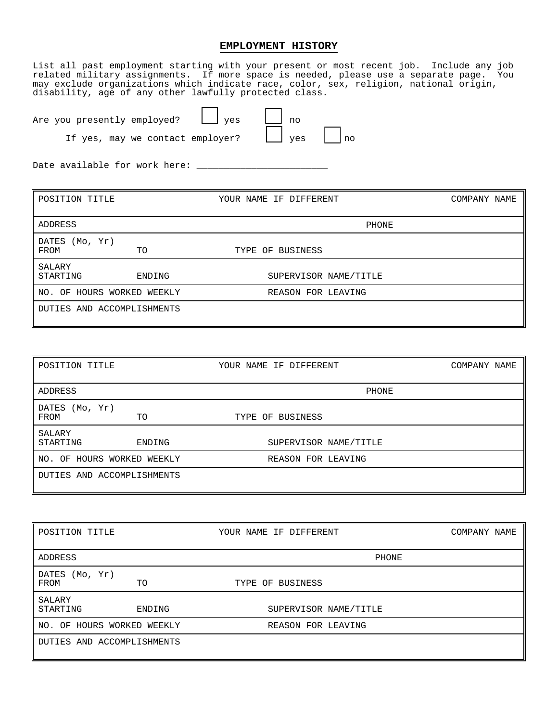## **EMPLOYMENT HISTORY**

List all past employment starting with your present or most recent job. Include any job related military assignments. If more space is needed, please use a separate page. You may exclude organizations which indicate race, color, sex, religion, national origin, disability, age of any other lawfully protected class.

Are you presently employed?  $\Box$  yes  $\Box$  no

If yes, may we contact employer?  $\Box$  yes  $\Box$  no

Date available for work here:  $\overline{\phantom{a}}$ 

| POSITION TITLE             |                            | YOUR NAME IF DIFFERENT | COMPANY NAME |
|----------------------------|----------------------------|------------------------|--------------|
| ADDRESS                    |                            | PHONE                  |              |
| DATES (Mo, Yr)<br>FROM     | TO                         | TYPE OF BUSINESS       |              |
| SALARY<br>STARTING         | ENDING                     | SUPERVISOR NAME/TITLE  |              |
| NO. OF HOURS WORKED WEEKLY |                            | REASON FOR LEAVING     |              |
|                            | DUTIES AND ACCOMPLISHMENTS |                        |              |

| POSITION TITLE             |        | YOUR NAME IF DIFFERENT | COMPANY NAME |
|----------------------------|--------|------------------------|--------------|
| ADDRESS                    |        | PHONE                  |              |
| (Mo, Yr)<br>DATES<br>FROM  | TO     | TYPE OF BUSINESS       |              |
| SALARY<br>STARTING         | ENDING | SUPERVISOR NAME/TITLE  |              |
| NO. OF HOURS WORKED WEEKLY |        | REASON FOR LEAVING     |              |
| DUTIES AND ACCOMPLISHMENTS |        |                        |              |

| POSITION TITLE         |                            | YOUR NAME IF DIFFERENT | COMPANY NAME |
|------------------------|----------------------------|------------------------|--------------|
| ADDRESS                |                            | PHONE                  |              |
| DATES (Mo, Yr)<br>FROM | TO                         | TYPE OF BUSINESS       |              |
| SALARY<br>STARTING     | ENDING                     | SUPERVISOR NAME/TITLE  |              |
|                        | NO. OF HOURS WORKED WEEKLY | REASON FOR LEAVING     |              |
|                        | DUTIES AND ACCOMPLISHMENTS |                        |              |